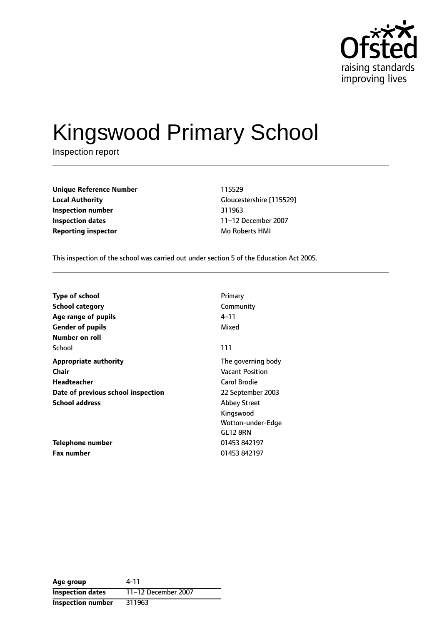

# Kingswood Primary School

Inspection report

| <b>Unique Reference Number</b> | 115529            |
|--------------------------------|-------------------|
| <b>Local Authority</b>         | Gloucestershire [ |
| Inspection number              | 311963            |
| Inspection dates               | 11–12 December    |
| <b>Reporting inspector</b>     | Mo Roberts HMI    |

**Unique Reference Number** 115529 **Local Authority** Gloucestershire [115529] **Inspection number** 311963 **Inspection dates** 1112 December 2007

This inspection of the school was carried out under section 5 of the Education Act 2005.

| <b>Type of school</b>              | Primary                |
|------------------------------------|------------------------|
| <b>School category</b>             | Community              |
| Age range of pupils                | 4–11                   |
| <b>Gender of pupils</b>            | Mixed                  |
| Number on roll                     |                        |
| School                             | 111                    |
| <b>Appropriate authority</b>       | The governing body     |
| <b>Chair</b>                       | <b>Vacant Position</b> |
| Headteacher                        | Carol Brodie           |
| Date of previous school inspection | 22 September 2003      |
| <b>School address</b>              | <b>Abbey Street</b>    |
|                                    | Kingswood              |
|                                    | Wotton-under-Edge      |
|                                    | GL12 8RN               |
| Telephone number                   | 01453 842197           |
| <b>Fax number</b>                  | 01453 842197           |

| Age group                | 4-11                |
|--------------------------|---------------------|
| <b>Inspection dates</b>  | 11-12 December 2007 |
| <b>Inspection number</b> | 311963              |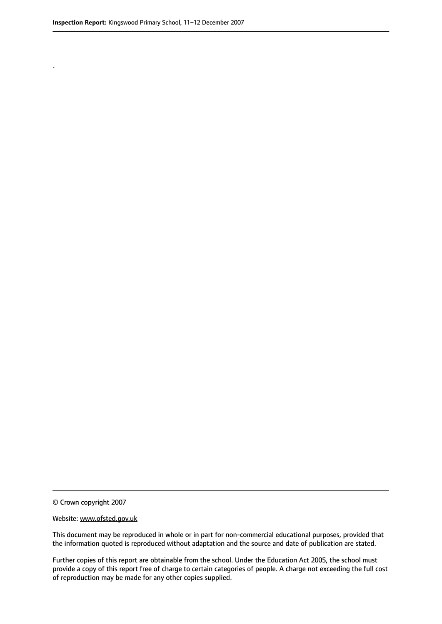.

© Crown copyright 2007

#### Website: www.ofsted.gov.uk

This document may be reproduced in whole or in part for non-commercial educational purposes, provided that the information quoted is reproduced without adaptation and the source and date of publication are stated.

Further copies of this report are obtainable from the school. Under the Education Act 2005, the school must provide a copy of this report free of charge to certain categories of people. A charge not exceeding the full cost of reproduction may be made for any other copies supplied.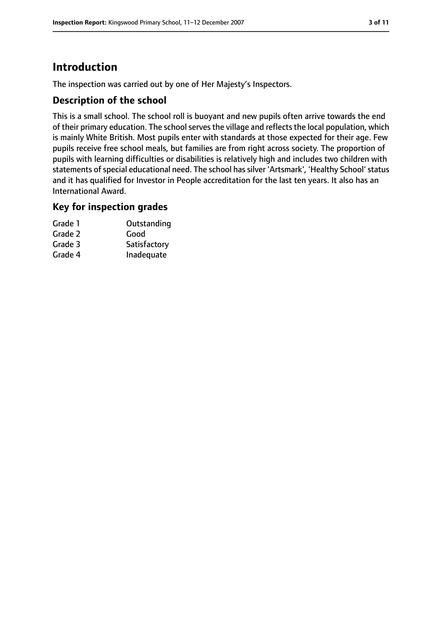# **Introduction**

The inspection was carried out by one of Her Majesty's Inspectors.

## **Description of the school**

This is a small school. The school roll is buoyant and new pupils often arrive towards the end of their primary education. The school serves the village and reflects the local population, which is mainly White British. Most pupils enter with standards at those expected for their age. Few pupils receive free school meals, but families are from right across society. The proportion of pupils with learning difficulties or disabilities is relatively high and includes two children with statements of special educational need. The school has silver 'Artsmark', 'Healthy School' status and it has qualified for Investor in People accreditation for the last ten years. It also has an International Award.

#### **Key for inspection grades**

| Grade 1 | Outstanding  |
|---------|--------------|
| Grade 2 | Good         |
| Grade 3 | Satisfactory |
| Grade 4 | Inadequate   |
|         |              |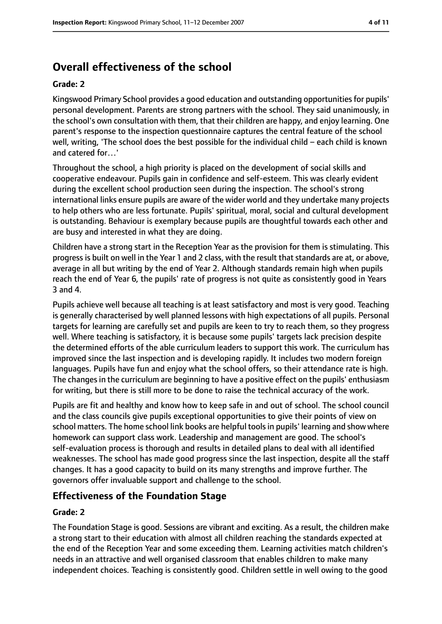# **Overall effectiveness of the school**

#### **Grade: 2**

Kingswood Primary School provides a good education and outstanding opportunitiesfor pupils' personal development. Parents are strong partners with the school. They said unanimously, in the school's own consultation with them, that their children are happy, and enjoy learning. One parent's response to the inspection questionnaire captures the central feature of the school well, writing, 'The school does the best possible for the individual child - each child is known and catered for…'

Throughout the school, a high priority is placed on the development of social skills and cooperative endeavour. Pupils gain in confidence and self-esteem. This was clearly evident during the excellent school production seen during the inspection. The school's strong international links ensure pupils are aware of the wider world and they undertake many projects to help others who are less fortunate. Pupils' spiritual, moral, social and cultural development is outstanding. Behaviour is exemplary because pupils are thoughtful towards each other and are busy and interested in what they are doing.

Children have a strong start in the Reception Year as the provision for them is stimulating. This progress is built on well in the Year 1 and 2 class, with the result that standards are at, or above, average in all but writing by the end of Year 2. Although standards remain high when pupils reach the end of Year 6, the pupils' rate of progress is not quite as consistently good in Years 3 and 4.

Pupils achieve well because all teaching is at least satisfactory and most is very good. Teaching is generally characterised by well planned lessons with high expectations of all pupils. Personal targets for learning are carefully set and pupils are keen to try to reach them, so they progress well. Where teaching is satisfactory, it is because some pupils' targets lack precision despite the determined efforts of the able curriculum leaders to support this work. The curriculum has improved since the last inspection and is developing rapidly. It includes two modern foreign languages. Pupils have fun and enjoy what the school offers, so their attendance rate is high. The changes in the curriculum are beginning to have a positive effect on the pupils' enthusiasm for writing, but there is still more to be done to raise the technical accuracy of the work.

Pupils are fit and healthy and know how to keep safe in and out of school. The school council and the class councils give pupils exceptional opportunities to give their points of view on school matters. The home school link books are helpful toolsin pupils' learning and show where homework can support class work. Leadership and management are good. The school's self-evaluation process is thorough and results in detailed plans to deal with all identified weaknesses. The school has made good progress since the last inspection, despite all the staff changes. It has a good capacity to build on its many strengths and improve further. The governors offer invaluable support and challenge to the school.

## **Effectiveness of the Foundation Stage**

#### **Grade: 2**

The Foundation Stage is good. Sessions are vibrant and exciting. As a result, the children make a strong start to their education with almost all children reaching the standards expected at the end of the Reception Year and some exceeding them. Learning activities match children's needs in an attractive and well organised classroom that enables children to make many independent choices. Teaching is consistently good. Children settle in well owing to the good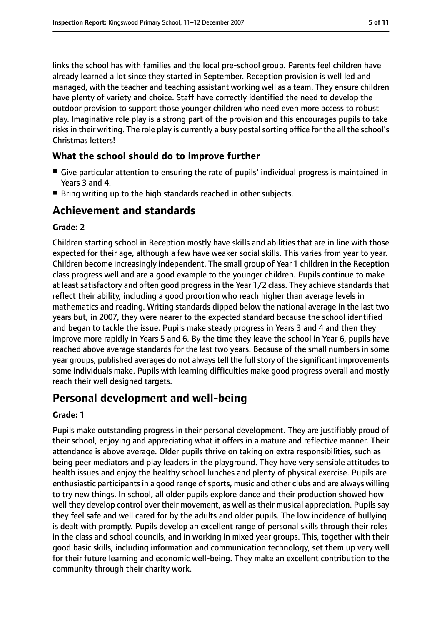links the school has with families and the local pre-school group. Parents feel children have already learned a lot since they started in September. Reception provision is well led and managed, with the teacher and teaching assistant working well as a team. They ensure children have plenty of variety and choice. Staff have correctly identified the need to develop the outdoor provision to support those younger children who need even more access to robust play. Imaginative role play is a strong part of the provision and this encourages pupils to take risks in their writing. The role play is currently a busy postal sorting office for the all the school's Christmas letters!

## **What the school should do to improve further**

- Give particular attention to ensuring the rate of pupils' individual progress is maintained in Years 3 and 4.
- Bring writing up to the high standards reached in other subjects.

# **Achievement and standards**

#### **Grade: 2**

Children starting school in Reception mostly have skills and abilities that are in line with those expected for their age, although a few have weaker social skills. This varies from year to year. Children become increasingly independent. The small group of Year 1 children in the Reception class progress well and are a good example to the younger children. Pupils continue to make at least satisfactory and often good progress in the Year 1/2 class. They achieve standards that reflect their ability, including a good proortion who reach higher than average levels in mathematics and reading. Writing standards dipped below the national average in the last two years but, in 2007, they were nearer to the expected standard because the school identified and began to tackle the issue. Pupils make steady progress in Years 3 and 4 and then they improve more rapidly in Years 5 and 6. By the time they leave the school in Year 6, pupils have reached above average standards for the last two years. Because of the small numbers in some year groups, published averages do not always tell the full story of the significant improvements some individuals make. Pupils with learning difficulties make good progress overall and mostly reach their well designed targets.

# **Personal development and well-being**

#### **Grade: 1**

Pupils make outstanding progress in their personal development. They are justifiably proud of their school, enjoying and appreciating what it offers in a mature and reflective manner. Their attendance is above average. Older pupils thrive on taking on extra responsibilities, such as being peer mediators and play leaders in the playground. They have very sensible attitudes to health issues and enjoy the healthy school lunches and plenty of physical exercise. Pupils are enthusiastic participants in a good range of sports, music and other clubs and are always willing to try new things. In school, all older pupils explore dance and their production showed how well they develop control over their movement, as well as their musical appreciation. Pupils say they feel safe and well cared for by the adults and older pupils. The low incidence of bullying is dealt with promptly. Pupils develop an excellent range of personal skills through their roles in the class and school councils, and in working in mixed year groups. This, together with their good basic skills, including information and communication technology, set them up very well for their future learning and economic well-being. They make an excellent contribution to the community through their charity work.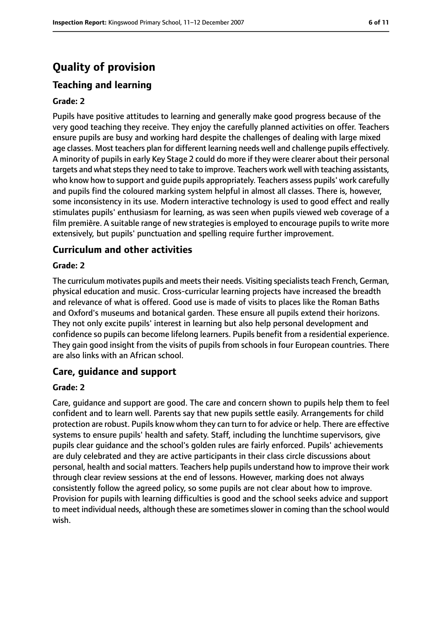# **Quality of provision**

# **Teaching and learning**

#### **Grade: 2**

Pupils have positive attitudes to learning and generally make good progress because of the very good teaching they receive. They enjoy the carefully planned activities on offer. Teachers ensure pupils are busy and working hard despite the challenges of dealing with large mixed age classes. Most teachers plan for different learning needs well and challenge pupils effectively. A minority of pupils in early Key Stage 2 could do more if they were clearer about their personal targets and what steps they need to take to improve. Teachers work well with teaching assistants, who know how to support and guide pupils appropriately. Teachers assess pupils' work carefully and pupils find the coloured marking system helpful in almost all classes. There is, however, some inconsistency in its use. Modern interactive technology is used to good effect and really stimulates pupils' enthusiasm for learning, as was seen when pupils viewed web coverage of a film première. A suitable range of new strategies is employed to encourage pupils to write more extensively, but pupils' punctuation and spelling require further improvement.

#### **Curriculum and other activities**

#### **Grade: 2**

The curriculum motivates pupils and meets their needs. Visiting specialists teach French, German, physical education and music. Cross-curricular learning projects have increased the breadth and relevance of what is offered. Good use is made of visits to places like the Roman Baths and Oxford's museums and botanical garden. These ensure all pupils extend their horizons. They not only excite pupils' interest in learning but also help personal development and confidence so pupils can become lifelong learners. Pupils benefit from a residential experience. They gain good insight from the visits of pupils from schools in four European countries. There are also links with an African school.

#### **Care, guidance and support**

#### **Grade: 2**

Care, guidance and support are good. The care and concern shown to pupils help them to feel confident and to learn well. Parents say that new pupils settle easily. Arrangements for child protection are robust. Pupils know whom they can turn to for advice or help. There are effective systems to ensure pupils' health and safety. Staff, including the lunchtime supervisors, give pupils clear guidance and the school's golden rules are fairly enforced. Pupils' achievements are duly celebrated and they are active participants in their class circle discussions about personal, health and social matters. Teachers help pupils understand how to improve their work through clear review sessions at the end of lessons. However, marking does not always consistently follow the agreed policy, so some pupils are not clear about how to improve. Provision for pupils with learning difficulties is good and the school seeks advice and support to meet individual needs, although these are sometimes slower in coming than the school would wish.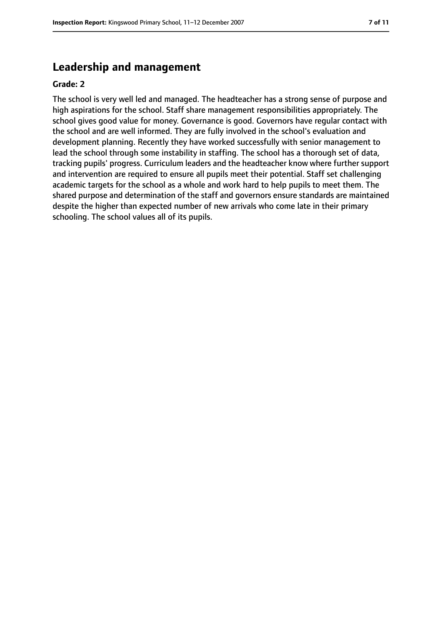# **Leadership and management**

#### **Grade: 2**

The school is very well led and managed. The headteacher has a strong sense of purpose and high aspirations for the school. Staff share management responsibilities appropriately. The school gives good value for money. Governance is good. Governors have regular contact with the school and are well informed. They are fully involved in the school's evaluation and development planning. Recently they have worked successfully with senior management to lead the school through some instability in staffing. The school has a thorough set of data, tracking pupils' progress. Curriculum leaders and the headteacher know where further support and intervention are required to ensure all pupils meet their potential. Staff set challenging academic targets for the school as a whole and work hard to help pupils to meet them. The shared purpose and determination of the staff and governors ensure standards are maintained despite the higher than expected number of new arrivals who come late in their primary schooling. The school values all of its pupils.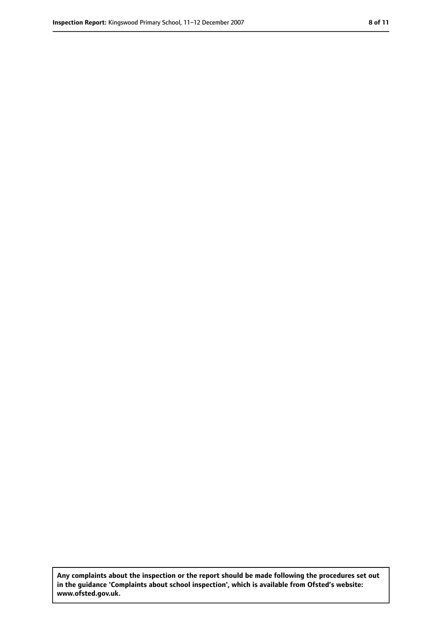**Any complaints about the inspection or the report should be made following the procedures set out in the guidance 'Complaints about school inspection', which is available from Ofsted's website: www.ofsted.gov.uk.**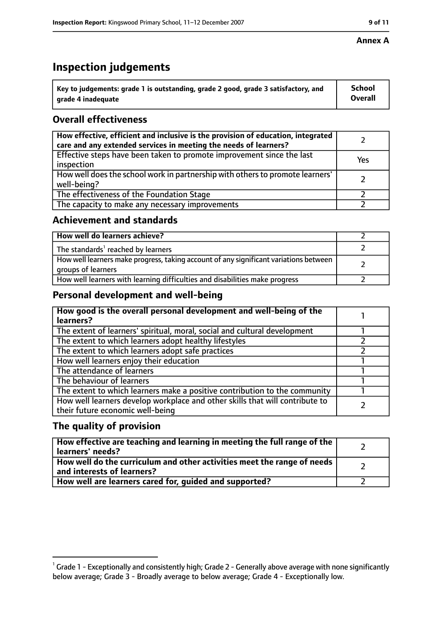# **Inspection judgements**

| $^{\backprime}$ Key to judgements: grade 1 is outstanding, grade 2 good, grade 3 satisfactory, and | <b>School</b>  |
|----------------------------------------------------------------------------------------------------|----------------|
| arade 4 inadequate                                                                                 | <b>Overall</b> |

# **Overall effectiveness**

| How effective, efficient and inclusive is the provision of education, integrated<br>care and any extended services in meeting the needs of learners? |     |
|------------------------------------------------------------------------------------------------------------------------------------------------------|-----|
| Effective steps have been taken to promote improvement since the last<br>inspection                                                                  | Yes |
| How well does the school work in partnership with others to promote learners'<br>well-being?                                                         |     |
| The effectiveness of the Foundation Stage                                                                                                            |     |
| The capacity to make any necessary improvements                                                                                                      |     |

## **Achievement and standards**

| How well do learners achieve?                                                                               |  |
|-------------------------------------------------------------------------------------------------------------|--|
| The standards <sup>1</sup> reached by learners                                                              |  |
| How well learners make progress, taking account of any significant variations between<br>groups of learners |  |
| How well learners with learning difficulties and disabilities make progress                                 |  |

# **Personal development and well-being**

| How good is the overall personal development and well-being of the<br>learners?                                  |  |
|------------------------------------------------------------------------------------------------------------------|--|
| The extent of learners' spiritual, moral, social and cultural development                                        |  |
| The extent to which learners adopt healthy lifestyles                                                            |  |
| The extent to which learners adopt safe practices                                                                |  |
| How well learners enjoy their education                                                                          |  |
| The attendance of learners                                                                                       |  |
| The behaviour of learners                                                                                        |  |
| The extent to which learners make a positive contribution to the community                                       |  |
| How well learners develop workplace and other skills that will contribute to<br>their future economic well-being |  |

# **The quality of provision**

| How effective are teaching and learning in meeting the full range of the<br>learners' needs?          |  |
|-------------------------------------------------------------------------------------------------------|--|
| How well do the curriculum and other activities meet the range of needs<br>and interests of learners? |  |
| How well are learners cared for, quided and supported?                                                |  |

### **Annex A**

 $^1$  Grade 1 - Exceptionally and consistently high; Grade 2 - Generally above average with none significantly below average; Grade 3 - Broadly average to below average; Grade 4 - Exceptionally low.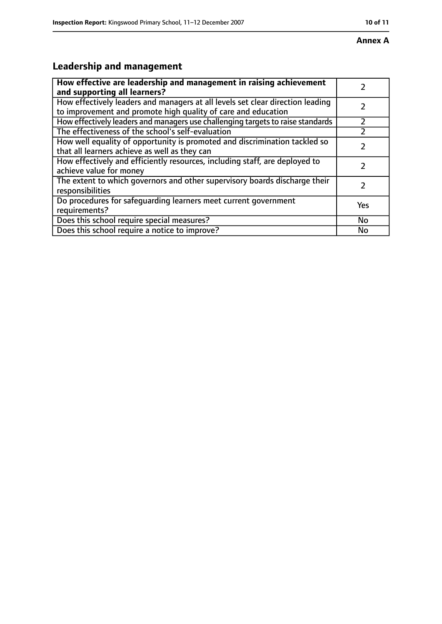# **Leadership and management**

| How effective are leadership and management in raising achievement<br>and supporting all learners?                                              |           |
|-------------------------------------------------------------------------------------------------------------------------------------------------|-----------|
| How effectively leaders and managers at all levels set clear direction leading<br>to improvement and promote high quality of care and education |           |
| How effectively leaders and managers use challenging targets to raise standards                                                                 |           |
| The effectiveness of the school's self-evaluation                                                                                               |           |
| How well equality of opportunity is promoted and discrimination tackled so<br>that all learners achieve as well as they can                     |           |
| How effectively and efficiently resources, including staff, are deployed to<br>achieve value for money                                          |           |
| The extent to which governors and other supervisory boards discharge their<br>responsibilities                                                  | 2         |
| Do procedures for safequarding learners meet current government<br>requirements?                                                                | Yes       |
| Does this school require special measures?                                                                                                      | <b>No</b> |
| Does this school require a notice to improve?                                                                                                   | No        |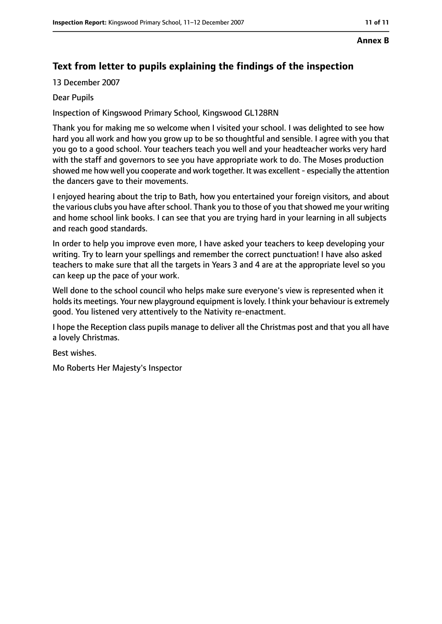#### **Annex B**

# **Text from letter to pupils explaining the findings of the inspection**

13 December 2007

#### Dear Pupils

Inspection of Kingswood Primary School, Kingswood GL128RN

Thank you for making me so welcome when I visited your school. I was delighted to see how hard you all work and how you grow up to be so thoughtful and sensible. I agree with you that you go to a good school. Your teachers teach you well and your headteacher works very hard with the staff and governors to see you have appropriate work to do. The Moses production showed me how well you cooperate and work together. It was excellent- especially the attention the dancers gave to their movements.

I enjoyed hearing about the trip to Bath, how you entertained your foreign visitors, and about the various clubs you have after school. Thank you to those of you that showed me your writing and home school link books. I can see that you are trying hard in your learning in all subjects and reach good standards.

In order to help you improve even more, I have asked your teachers to keep developing your writing. Try to learn your spellings and remember the correct punctuation! I have also asked teachers to make sure that all the targets in Years 3 and 4 are at the appropriate level so you can keep up the pace of your work.

Well done to the school council who helps make sure everyone's view is represented when it holds its meetings. Your new playground equipment is lovely. I think your behaviour is extremely good. You listened very attentively to the Nativity re-enactment.

I hope the Reception class pupils manage to deliver all the Christmas post and that you all have a lovely Christmas.

Best wishes.

Mo Roberts Her Majesty's Inspector